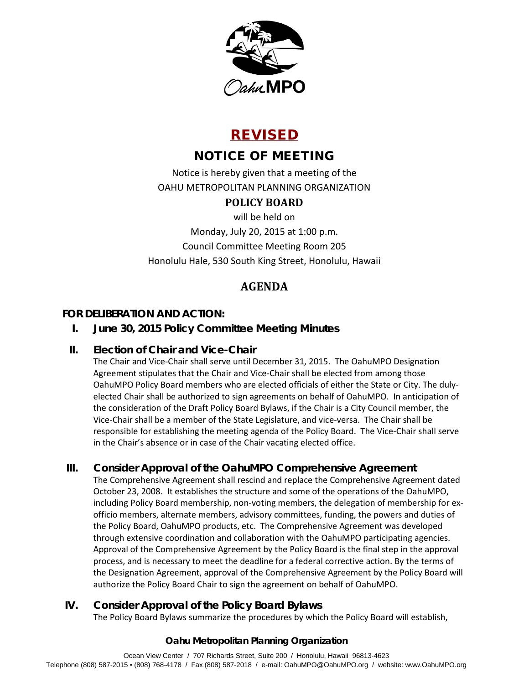

# REVISED

# NOTICE OF MEETING

Notice is hereby given that a meeting of the OAHU METROPOLITAN PLANNING ORGANIZATION

# **POLICY BOARD**

will be held on

Monday, July 20, 2015 at 1:00 p.m. Council Committee Meeting Room 205 Honolulu Hale, 530 South King Street, Honolulu, Hawaii

# **AGENDA**

## **FOR DELIBERATION AND ACTION:**

# **I. June 30, 2015 Policy Committee Meeting Minutes**

## **II. Election of Chair and Vice-Chair**

The Chair and Vice-Chair shall serve until December 31, 2015. The OahuMPO Designation Agreement stipulates that the Chair and Vice-Chair shall be elected from among those OahuMPO Policy Board members who are elected officials of either the State or City. The dulyelected Chair shall be authorized to sign agreements on behalf of OahuMPO. In anticipation of the consideration of the Draft Policy Board Bylaws, if the Chair is a City Council member, the Vice-Chair shall be a member of the State Legislature, and vice-versa. The Chair shall be responsible for establishing the meeting agenda of the Policy Board. The Vice-Chair shall serve in the Chair's absence or in case of the Chair vacating elected office.

# **III. Consider Approval of the OahuMPO Comprehensive Agreement**

The Comprehensive Agreement shall rescind and replace the Comprehensive Agreement dated October 23, 2008. It establishes the structure and some of the operations of the OahuMPO, including Policy Board membership, non-voting members, the delegation of membership for exofficio members, alternate members, advisory committees, funding, the powers and duties of the Policy Board, OahuMPO products, etc. The Comprehensive Agreement was developed through extensive coordination and collaboration with the OahuMPO participating agencies. Approval of the Comprehensive Agreement by the Policy Board is the final step in the approval process, and is necessary to meet the deadline for a federal corrective action. By the terms of the Designation Agreement, approval of the Comprehensive Agreement by the Policy Board will authorize the Policy Board Chair to sign the agreement on behalf of OahuMPO.

## **IV. Consider Approval of the Policy Board Bylaws**

The Policy Board Bylaws summarize the procedures by which the Policy Board will establish,

## **Oahu Metropolitan Planning Organization**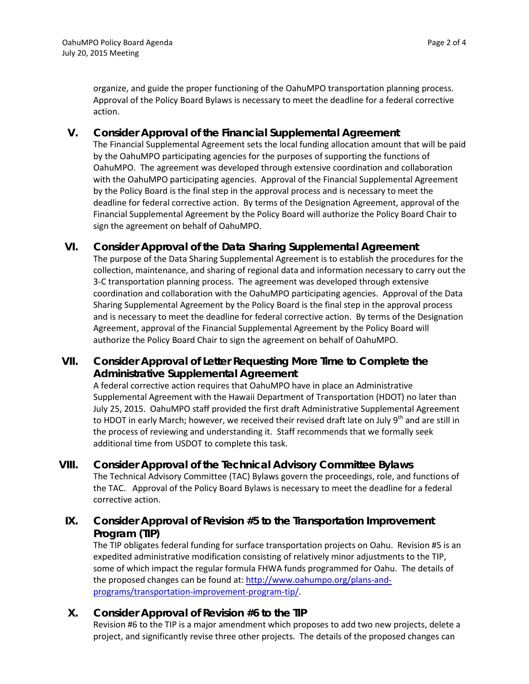organize, and guide the proper functioning of the OahuMPO transportation planning process. Approval of the Policy Board Bylaws is necessary to meet the deadline for a federal corrective action.

#### **V. Consider Approval of the Financial Supplemental Agreement**

The Financial Supplemental Agreement sets the local funding allocation amount that will be paid by the OahuMPO participating agencies for the purposes of supporting the functions of OahuMPO. The agreement was developed through extensive coordination and collaboration with the OahuMPO participating agencies. Approval of the Financial Supplemental Agreement by the Policy Board is the final step in the approval process and is necessary to meet the deadline for federal corrective action. By terms of the Designation Agreement, approval of the Financial Supplemental Agreement by the Policy Board will authorize the Policy Board Chair to sign the agreement on behalf of OahuMPO.

### **VI. Consider Approval of the Data Sharing Supplemental Agreement**

The purpose of the Data Sharing Supplemental Agreement is to establish the procedures for the collection, maintenance, and sharing of regional data and information necessary to carry out the 3-C transportation planning process. The agreement was developed through extensive coordination and collaboration with the OahuMPO participating agencies. Approval of the Data Sharing Supplemental Agreement by the Policy Board is the final step in the approval process and is necessary to meet the deadline for federal corrective action. By terms of the Designation Agreement, approval of the Financial Supplemental Agreement by the Policy Board will authorize the Policy Board Chair to sign the agreement on behalf of OahuMPO.

## **VII. Consider Approval of Letter Requesting More Time to Complete the Administrative Supplemental Agreement**

A federal corrective action requires that OahuMPO have in place an Administrative Supplemental Agreement with the Hawaii Department of Transportation (HDOT) no later than July 25, 2015. OahuMPO staff provided the first draft Administrative Supplemental Agreement to HDOT in early March; however, we received their revised draft late on July 9<sup>th</sup> and are still in the process of reviewing and understanding it. Staff recommends that we formally seek additional time from USDOT to complete this task.

**VIII. Consider Approval of the Technical Advisory Committee Bylaws** The Technical Advisory Committee (TAC) Bylaws govern the proceedings, role, and functions of the TAC. Approval of the Policy Board Bylaws is necessary to meet the deadline for a federal corrective action.

## **IX. Consider Approval of Revision #5 to the Transportation Improvement Program (TIP)**

The TIP obligates federal funding for surface transportation projects on Oahu. Revision #5 is an expedited administrative modification consisting of relatively minor adjustments to the TIP, some of which impact the regular formula FHWA funds programmed for Oahu. The details of the proposed changes can be found at[: http://www.oahumpo.org/plans-and](http://www.oahumpo.org/plans-and-programs/transportation-improvement-program-tip/)[programs/transportation-improvement-program-tip/.](http://www.oahumpo.org/plans-and-programs/transportation-improvement-program-tip/)

## **X. Consider Approval of Revision #6 to the TIP**

Revision #6 to the TIP is a major amendment which proposes to add two new projects, delete a project, and significantly revise three other projects. The details of the proposed changes can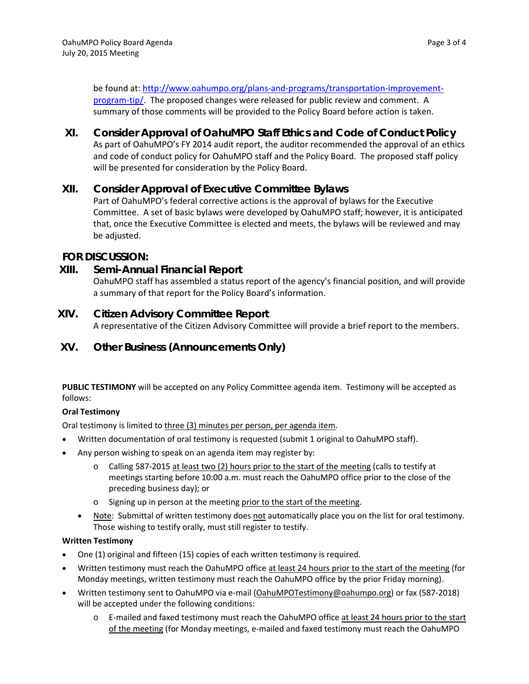be found at: [http://www.oahumpo.org/plans-and-programs/transportation-improvement](http://www.oahumpo.org/plans-and-programs/transportation-improvement-program-tip/)[program-tip/.](http://www.oahumpo.org/plans-and-programs/transportation-improvement-program-tip/) The proposed changes were released for public review and comment. A summary of those comments will be provided to the Policy Board before action is taken.

**XI. Consider Approval of OahuMPO Staff Ethics and Code of Conduct Policy** As part of OahuMPO's FY 2014 audit report, the auditor recommended the approval of an ethics and code of conduct policy for OahuMPO staff and the Policy Board. The proposed staff policy will be presented for consideration by the Policy Board.

### **XII. Consider Approval of Executive Committee Bylaws**

Part of OahuMPO's federal corrective actions is the approval of bylaws for the Executive Committee. A set of basic bylaws were developed by OahuMPO staff; however, it is anticipated that, once the Executive Committee is elected and meets, the bylaws will be reviewed and may be adjusted.

### **FOR DISCUSSION:**

### **XIII. Semi-Annual Financial Report**

OahuMPO staff has assembled a status report of the agency's financial position, and will provide a summary of that report for the Policy Board's information.

### **XIV. Citizen Advisory Committee Report**

A representative of the Citizen Advisory Committee will provide a brief report to the members.

## **XV. Other Business (Announcements Only)**

**PUBLIC TESTIMONY** will be accepted on any Policy Committee agenda item. Testimony will be accepted as follows:

#### **Oral Testimony**

Oral testimony is limited to three (3) minutes per person, per agenda item.

- Written documentation of oral testimony is requested (submit 1 original to OahuMPO staff).
- Any person wishing to speak on an agenda item may register by:
	- o Calling 587-2015 at least two (2) hours prior to the start of the meeting (calls to testify at meetings starting before 10:00 a.m. must reach the OahuMPO office prior to the close of the preceding business day); or
	- o Signing up in person at the meeting prior to the start of the meeting.
	- Note: Submittal of written testimony does not automatically place you on the list for oral testimony. Those wishing to testify orally, must still register to testify.

#### **Written Testimony**

- One (1) original and fifteen (15) copies of each written testimony is required.
- Written testimony must reach the OahuMPO office at least 24 hours prior to the start of the meeting (for Monday meetings, written testimony must reach the OahuMPO office by the prior Friday morning).
- Written testimony sent to OahuMPO via e-mail (OahuMPOTestimony@oahumpo.org) or fax (587-2018) will be accepted under the following conditions:
	- o E-mailed and faxed testimony must reach the OahuMPO office at least 24 hours prior to the start of the meeting (for Monday meetings, e-mailed and faxed testimony must reach the OahuMPO